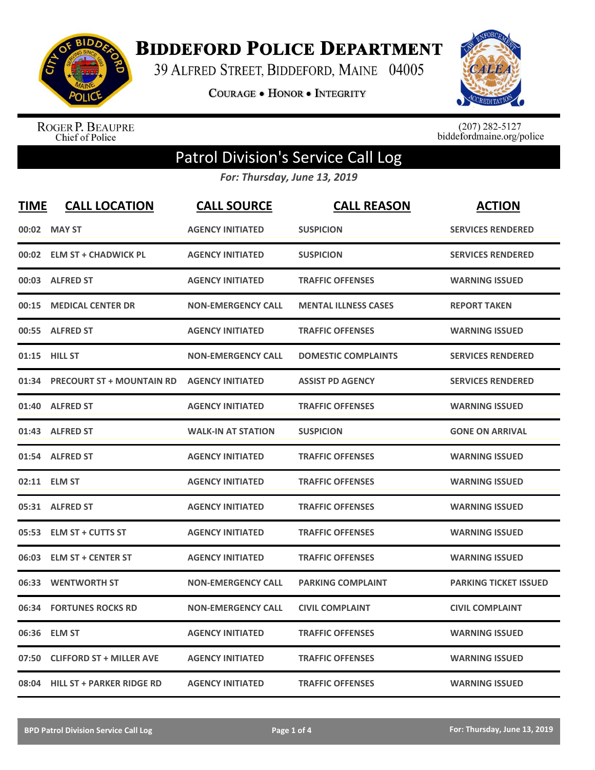

**BIDDEFORD POLICE DEPARTMENT** 

39 ALFRED STREET, BIDDEFORD, MAINE 04005

**COURAGE . HONOR . INTEGRITY** 



ROGER P. BEAUPRE<br>Chief of Police

 $(207)$  282-5127<br>biddefordmaine.org/police

## Patrol Division's Service Call Log

*For: Thursday, June 13, 2019*

| <u>TIME</u> | <b>CALL LOCATION</b>             | <b>CALL SOURCE</b>        | <b>CALL REASON</b>          | <b>ACTION</b>                |
|-------------|----------------------------------|---------------------------|-----------------------------|------------------------------|
| 00:02       | <b>MAY ST</b>                    | <b>AGENCY INITIATED</b>   | <b>SUSPICION</b>            | <b>SERVICES RENDERED</b>     |
|             | 00:02 ELM ST + CHADWICK PL       | <b>AGENCY INITIATED</b>   | <b>SUSPICION</b>            | <b>SERVICES RENDERED</b>     |
| 00:03       | <b>ALFRED ST</b>                 | <b>AGENCY INITIATED</b>   | <b>TRAFFIC OFFENSES</b>     | <b>WARNING ISSUED</b>        |
| 00:15       | <b>MEDICAL CENTER DR</b>         | <b>NON-EMERGENCY CALL</b> | <b>MENTAL ILLNESS CASES</b> | <b>REPORT TAKEN</b>          |
|             | 00:55 ALFRED ST                  | <b>AGENCY INITIATED</b>   | <b>TRAFFIC OFFENSES</b>     | <b>WARNING ISSUED</b>        |
|             | 01:15 HILL ST                    | <b>NON-EMERGENCY CALL</b> | <b>DOMESTIC COMPLAINTS</b>  | <b>SERVICES RENDERED</b>     |
| 01:34       | <b>PRECOURT ST + MOUNTAIN RD</b> | <b>AGENCY INITIATED</b>   | <b>ASSIST PD AGENCY</b>     | <b>SERVICES RENDERED</b>     |
| 01:40       | <b>ALFRED ST</b>                 | <b>AGENCY INITIATED</b>   | <b>TRAFFIC OFFENSES</b>     | <b>WARNING ISSUED</b>        |
|             | 01:43 ALFRED ST                  | <b>WALK-IN AT STATION</b> | <b>SUSPICION</b>            | <b>GONE ON ARRIVAL</b>       |
|             | 01:54 ALFRED ST                  | <b>AGENCY INITIATED</b>   | <b>TRAFFIC OFFENSES</b>     | <b>WARNING ISSUED</b>        |
|             | 02:11 ELM ST                     | <b>AGENCY INITIATED</b>   | <b>TRAFFIC OFFENSES</b>     | <b>WARNING ISSUED</b>        |
|             | 05:31 ALFRED ST                  | <b>AGENCY INITIATED</b>   | <b>TRAFFIC OFFENSES</b>     | <b>WARNING ISSUED</b>        |
| 05:53       | <b>ELM ST + CUTTS ST</b>         | <b>AGENCY INITIATED</b>   | <b>TRAFFIC OFFENSES</b>     | <b>WARNING ISSUED</b>        |
| 06:03       | <b>ELM ST + CENTER ST</b>        | <b>AGENCY INITIATED</b>   | <b>TRAFFIC OFFENSES</b>     | <b>WARNING ISSUED</b>        |
| 06:33       | <b>WENTWORTH ST</b>              | <b>NON-EMERGENCY CALL</b> | <b>PARKING COMPLAINT</b>    | <b>PARKING TICKET ISSUED</b> |
| 06:34       | <b>FORTUNES ROCKS RD</b>         | <b>NON-EMERGENCY CALL</b> | <b>CIVIL COMPLAINT</b>      | <b>CIVIL COMPLAINT</b>       |
| 06:36       | <b>ELM ST</b>                    | <b>AGENCY INITIATED</b>   | <b>TRAFFIC OFFENSES</b>     | <b>WARNING ISSUED</b>        |
| 07:50       | <b>CLIFFORD ST + MILLER AVE</b>  | <b>AGENCY INITIATED</b>   | <b>TRAFFIC OFFENSES</b>     | <b>WARNING ISSUED</b>        |
|             | 08:04 HILL ST + PARKER RIDGE RD  | <b>AGENCY INITIATED</b>   | <b>TRAFFIC OFFENSES</b>     | <b>WARNING ISSUED</b>        |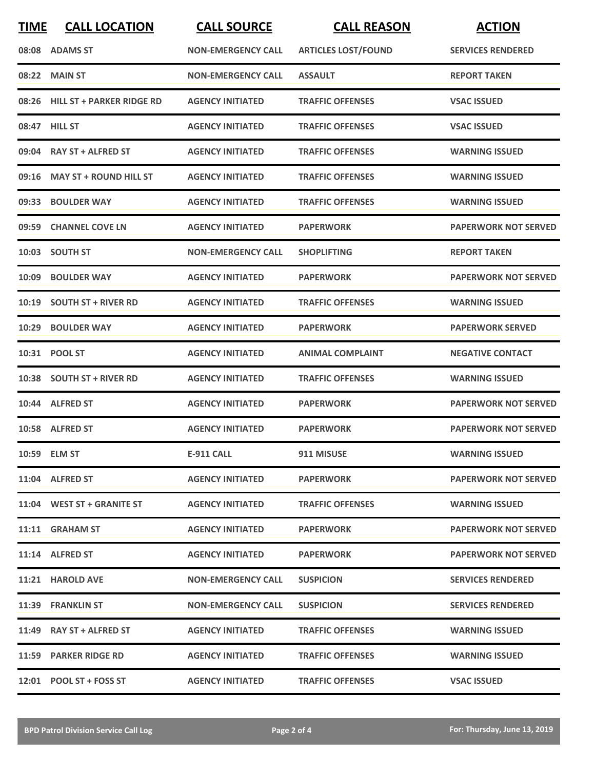| <b>TIME</b> | <b>CALL LOCATION</b>             | <b>CALL SOURCE</b>        | <b>CALL REASON</b>         | <b>ACTION</b>               |
|-------------|----------------------------------|---------------------------|----------------------------|-----------------------------|
|             | 08:08 ADAMS ST                   | <b>NON-EMERGENCY CALL</b> | <b>ARTICLES LOST/FOUND</b> | <b>SERVICES RENDERED</b>    |
| 08:22       | <b>MAIN ST</b>                   | <b>NON-EMERGENCY CALL</b> | <b>ASSAULT</b>             | <b>REPORT TAKEN</b>         |
| 08:26       | <b>HILL ST + PARKER RIDGE RD</b> | <b>AGENCY INITIATED</b>   | <b>TRAFFIC OFFENSES</b>    | <b>VSAC ISSUED</b>          |
|             | 08:47 HILL ST                    | <b>AGENCY INITIATED</b>   | <b>TRAFFIC OFFENSES</b>    | <b>VSAC ISSUED</b>          |
|             | 09:04 RAY ST + ALFRED ST         | <b>AGENCY INITIATED</b>   | <b>TRAFFIC OFFENSES</b>    | <b>WARNING ISSUED</b>       |
|             | 09:16 MAY ST + ROUND HILL ST     | <b>AGENCY INITIATED</b>   | <b>TRAFFIC OFFENSES</b>    | <b>WARNING ISSUED</b>       |
| 09:33       | <b>BOULDER WAY</b>               | <b>AGENCY INITIATED</b>   | <b>TRAFFIC OFFENSES</b>    | <b>WARNING ISSUED</b>       |
| 09:59       | <b>CHANNEL COVE LN</b>           | <b>AGENCY INITIATED</b>   | <b>PAPERWORK</b>           | <b>PAPERWORK NOT SERVED</b> |
| 10:03       | <b>SOUTH ST</b>                  | <b>NON-EMERGENCY CALL</b> | <b>SHOPLIFTING</b>         | <b>REPORT TAKEN</b>         |
| 10:09       | <b>BOULDER WAY</b>               | <b>AGENCY INITIATED</b>   | <b>PAPERWORK</b>           | <b>PAPERWORK NOT SERVED</b> |
|             | 10:19 SOUTH ST + RIVER RD        | <b>AGENCY INITIATED</b>   | <b>TRAFFIC OFFENSES</b>    | <b>WARNING ISSUED</b>       |
| 10:29       | <b>BOULDER WAY</b>               | <b>AGENCY INITIATED</b>   | PAPERWORK                  | <b>PAPERWORK SERVED</b>     |
|             | 10:31 POOL ST                    | <b>AGENCY INITIATED</b>   | <b>ANIMAL COMPLAINT</b>    | <b>NEGATIVE CONTACT</b>     |
|             | 10:38 SOUTH ST + RIVER RD        | <b>AGENCY INITIATED</b>   | <b>TRAFFIC OFFENSES</b>    | <b>WARNING ISSUED</b>       |
|             | 10:44 ALFRED ST                  | <b>AGENCY INITIATED</b>   | <b>PAPERWORK</b>           | <b>PAPERWORK NOT SERVED</b> |
|             | 10:58 ALFRED ST                  | <b>AGENCY INITIATED</b>   | PAPERWORK                  | <b>PAPERWORK NOT SERVED</b> |
|             | 10:59 ELM ST                     | <b>E-911 CALL</b>         | 911 MISUSE                 | <b>WARNING ISSUED</b>       |
|             | 11:04 ALFRED ST                  | <b>AGENCY INITIATED</b>   | <b>PAPERWORK</b>           | <b>PAPERWORK NOT SERVED</b> |
|             | 11:04 WEST ST + GRANITE ST       | <b>AGENCY INITIATED</b>   | <b>TRAFFIC OFFENSES</b>    | <b>WARNING ISSUED</b>       |
|             | 11:11 GRAHAM ST                  | <b>AGENCY INITIATED</b>   | <b>PAPERWORK</b>           | <b>PAPERWORK NOT SERVED</b> |
|             | 11:14 ALFRED ST                  | <b>AGENCY INITIATED</b>   | <b>PAPERWORK</b>           | <b>PAPERWORK NOT SERVED</b> |
|             | 11:21 HAROLD AVE                 | <b>NON-EMERGENCY CALL</b> | <b>SUSPICION</b>           | <b>SERVICES RENDERED</b>    |
|             | 11:39 FRANKLIN ST                | <b>NON-EMERGENCY CALL</b> | <b>SUSPICION</b>           | <b>SERVICES RENDERED</b>    |
|             | $11:49$ RAY ST + ALFRED ST       | <b>AGENCY INITIATED</b>   | <b>TRAFFIC OFFENSES</b>    | <b>WARNING ISSUED</b>       |
|             | 11:59 PARKER RIDGE RD            | <b>AGENCY INITIATED</b>   | <b>TRAFFIC OFFENSES</b>    | <b>WARNING ISSUED</b>       |
|             | $12:01$ POOL ST + FOSS ST        | <b>AGENCY INITIATED</b>   | <b>TRAFFIC OFFENSES</b>    | <b>VSAC ISSUED</b>          |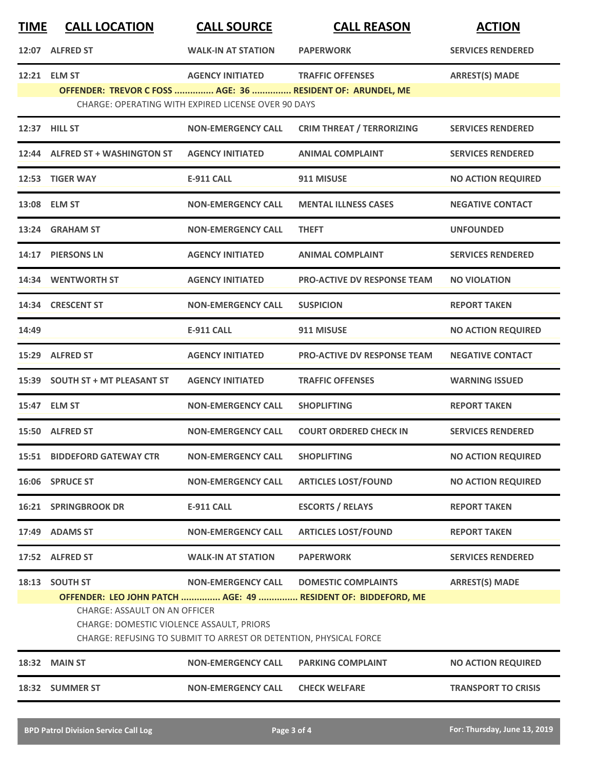| <b>TIME</b> | <b>CALL LOCATION</b>                                                                                                                                                                                                    | <b>CALL SOURCE</b>                                         | <b>CALL REASON</b>                                         | <b>ACTION</b>              |
|-------------|-------------------------------------------------------------------------------------------------------------------------------------------------------------------------------------------------------------------------|------------------------------------------------------------|------------------------------------------------------------|----------------------------|
|             | 12:07 ALFRED ST                                                                                                                                                                                                         | <b>WALK-IN AT STATION</b>                                  | <b>PAPERWORK</b>                                           | <b>SERVICES RENDERED</b>   |
|             | 12:21 ELM ST                                                                                                                                                                                                            | <b>AGENCY INITIATED</b>                                    | <b>TRAFFIC OFFENSES</b>                                    | <b>ARREST(S) MADE</b>      |
|             |                                                                                                                                                                                                                         | <b>CHARGE: OPERATING WITH EXPIRED LICENSE OVER 90 DAYS</b> | OFFENDER: TREVOR C FOSS  AGE: 36  RESIDENT OF: ARUNDEL, ME |                            |
|             | 12:37 HILL ST                                                                                                                                                                                                           | <b>NON-EMERGENCY CALL</b>                                  | <b>CRIM THREAT / TERRORIZING</b>                           | <b>SERVICES RENDERED</b>   |
|             | 12:44 ALFRED ST + WASHINGTON ST                                                                                                                                                                                         | <b>AGENCY INITIATED</b>                                    | <b>ANIMAL COMPLAINT</b>                                    | <b>SERVICES RENDERED</b>   |
|             | 12:53 TIGER WAY                                                                                                                                                                                                         | <b>E-911 CALL</b>                                          | 911 MISUSE                                                 | <b>NO ACTION REQUIRED</b>  |
|             | 13:08 ELM ST                                                                                                                                                                                                            | <b>NON-EMERGENCY CALL</b>                                  | <b>MENTAL ILLNESS CASES</b>                                | <b>NEGATIVE CONTACT</b>    |
|             | 13:24 GRAHAM ST                                                                                                                                                                                                         | <b>NON-EMERGENCY CALL</b>                                  | <b>THEFT</b>                                               | <b>UNFOUNDED</b>           |
|             | 14:17 PIERSONS LN                                                                                                                                                                                                       | <b>AGENCY INITIATED</b>                                    | <b>ANIMAL COMPLAINT</b>                                    | <b>SERVICES RENDERED</b>   |
|             | 14:34 WENTWORTH ST                                                                                                                                                                                                      | <b>AGENCY INITIATED</b>                                    | <b>PRO-ACTIVE DV RESPONSE TEAM</b>                         | <b>NO VIOLATION</b>        |
|             | 14:34 CRESCENT ST                                                                                                                                                                                                       | <b>NON-EMERGENCY CALL</b>                                  | <b>SUSPICION</b>                                           | <b>REPORT TAKEN</b>        |
| 14:49       |                                                                                                                                                                                                                         | <b>E-911 CALL</b>                                          | 911 MISUSE                                                 | <b>NO ACTION REQUIRED</b>  |
|             | 15:29 ALFRED ST                                                                                                                                                                                                         | <b>AGENCY INITIATED</b>                                    | <b>PRO-ACTIVE DV RESPONSE TEAM</b>                         | <b>NEGATIVE CONTACT</b>    |
|             | 15:39 SOUTH ST + MT PLEASANT ST                                                                                                                                                                                         | <b>AGENCY INITIATED</b>                                    | <b>TRAFFIC OFFENSES</b>                                    | <b>WARNING ISSUED</b>      |
|             | 15:47 ELM ST                                                                                                                                                                                                            | <b>NON-EMERGENCY CALL</b>                                  | <b>SHOPLIFTING</b>                                         | <b>REPORT TAKEN</b>        |
|             | 15:50 ALFRED ST                                                                                                                                                                                                         | <b>NON-EMERGENCY CALL</b>                                  | <b>COURT ORDERED CHECK IN</b>                              | <b>SERVICES RENDERED</b>   |
|             | <b>15:51 BIDDEFORD GATEWAY CTR</b>                                                                                                                                                                                      | <b>NON-EMERGENCY CALL</b>                                  | <b>SHOPLIFTING</b>                                         | <b>NO ACTION REQUIRED</b>  |
|             | 16:06 SPRUCE ST                                                                                                                                                                                                         | <b>NON-EMERGENCY CALL</b>                                  | <b>ARTICLES LOST/FOUND</b>                                 | <b>NO ACTION REQUIRED</b>  |
|             | <b>16:21 SPRINGBROOK DR</b>                                                                                                                                                                                             | <b>E-911 CALL</b>                                          | <b>ESCORTS / RELAYS</b>                                    | <b>REPORT TAKEN</b>        |
|             | 17:49 ADAMS ST                                                                                                                                                                                                          | <b>NON-EMERGENCY CALL</b>                                  | <b>ARTICLES LOST/FOUND</b>                                 | <b>REPORT TAKEN</b>        |
|             | 17:52 ALFRED ST                                                                                                                                                                                                         | <b>WALK-IN AT STATION</b>                                  | <b>PAPERWORK</b>                                           | <b>SERVICES RENDERED</b>   |
|             | 18:13 SOUTH ST                                                                                                                                                                                                          | <b>NON-EMERGENCY CALL</b>                                  | <b>DOMESTIC COMPLAINTS</b>                                 | <b>ARREST(S) MADE</b>      |
|             | OFFENDER: LEO JOHN PATCH  AGE: 49  RESIDENT OF: BIDDEFORD, ME<br><b>CHARGE: ASSAULT ON AN OFFICER</b><br>CHARGE: DOMESTIC VIOLENCE ASSAULT, PRIORS<br>CHARGE: REFUSING TO SUBMIT TO ARREST OR DETENTION, PHYSICAL FORCE |                                                            |                                                            |                            |
|             | 18:32 MAIN ST                                                                                                                                                                                                           | <b>NON-EMERGENCY CALL</b>                                  | <b>PARKING COMPLAINT</b>                                   | <b>NO ACTION REQUIRED</b>  |
|             | 18:32 SUMMER ST                                                                                                                                                                                                         | <b>NON-EMERGENCY CALL</b>                                  | <b>CHECK WELFARE</b>                                       | <b>TRANSPORT TO CRISIS</b> |
|             |                                                                                                                                                                                                                         |                                                            |                                                            |                            |